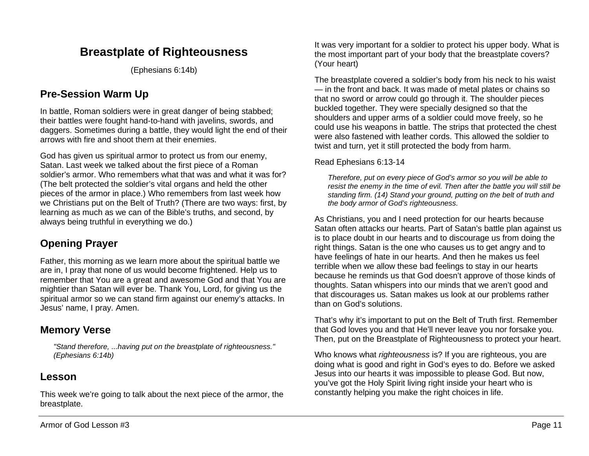# **Breastplate of Righteousness**

(Ephesians 6:14b)

# **Pre-Session Warm Up**

In battle, Roman soldiers were in great danger of being stabbed; their battles were fought hand-to-hand with javelins, swords, and daggers. Sometimes during a battle, they would light the end of their arrows with fire and shoot them at their enemies.

God has given us spiritual armor to protect us from our enemy. Satan. Last week we talked about the first piece of a Roman soldier's armor. Who remembers what that was and what it was for? (The belt protected the soldier's vital organs and held the other pieces of the armor in place.) Who remembers from last week how we Christians put on the Belt of Truth? (There are two ways: first, by learning as much as we can of the Bible's truths, and second, by always being truthful in everything we do.)

## **Opening Prayer**

Father, this morning as we learn more about the spiritual battle we are in, I pray that none of us would become frightened. Help us to remember that You are a great and awesome God and that You are mightier than Satan will ever be. Thank You, Lord, for giving us the spiritual armor so we can stand firm against our enemy's attacks. In Jesus' name, I pray. Amen.

## **Memory Verse**

*"Stand therefore, ...having put on the breastplate of righteousness." (Ephesians 6:14b)*

## **Lesson**

This week we're going to talk about the next piece of the armor, the breastplate.

It was very important for a soldier to protect his upper body. What is the most important part of your body that the breastplate covers? (Your heart)

The breastplate covered a soldier's body from his neck to his waist — in the front and back. It was made of metal plates or chains so that no sword or arrow could go through it. The shoulder pieces buckled together. They were specially designed so that the shoulders and upper arms of a soldier could move freely, so he could use his weapons in battle. The strips that protected the chest were also fastened with leather cords. This allowed the soldier to twist and turn, yet it still protected the body from harm.

Read Ephesians 6:13-14

*Therefore, put on every piece of God's armor so you will be able to resist the enemy in the time of evil. Then after the battle you will still be standing firm. (14) Stand your ground, putting on the belt of truth and the body armor of God's righteousness.*

As Christians, you and I need protection for our hearts because Satan often attacks our hearts. Part of Satan's battle plan against us is to place doubt in our hearts and to discourage us from doing the right things. Satan is the one who causes us to get angry and to have feelings of hate in our hearts. And then he makes us feel terrible when we allow these bad feelings to stay in our hearts because he reminds us that God doesn't approve of those kinds of thoughts. Satan whispers into our minds that we aren't good and that discourages us. Satan makes us look at our problems rather than on God's solutions.

That's why it's important to put on the Belt of Truth first. Remember that God loves you and that He'll never leave you nor forsake you. Then, put on the Breastplate of Righteousness to protect your heart.

Who knows what *righteousness* is? If you are righteous, you are doing what is good and right in God's eyes to do. Before we asked Jesus into our hearts it was impossible to please God. But now, you've got the Holy Spirit living right inside your heart who is constantly helping you make the right choices in life.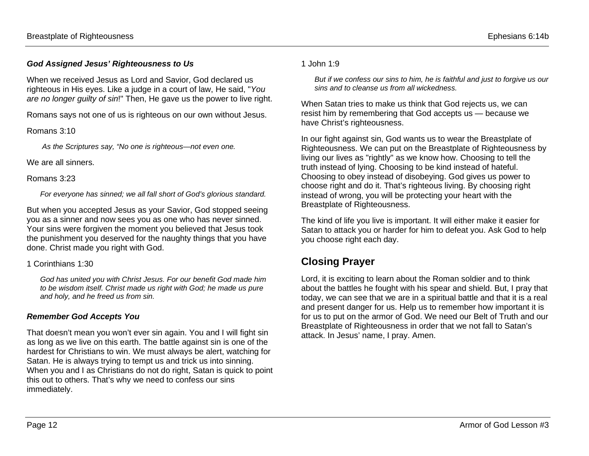#### *God Assigned Jesus' Righteousness to Us*

When we received Jesus as Lord and Savior, God declared us righteous in His eyes. Like a judge in a court of law, He said, "*You are no longer guilty of sin*!" Then, He gave us the power to live right.

Romans says not one of us is righteous on our own without Jesus.

#### Romans 3:10

*As the Scriptures say, "No one is righteous—not even one.*

We are all sinners.

#### Romans 3:23

*For everyone has sinned; we all fall short of God's glorious standard.*

But when you accepted Jesus as your Savior, God stopped seeing you as a sinner and now sees you as one who has never sinned. Your sins were forgiven the moment you believed that Jesus took the punishment you deserved for the naughty things that you have done. Christ made you right with God.

#### 1 Corinthians 1:30

*God has united you with Christ Jesus. For our benefit God made him to be wisdom itself. Christ made us right with God; he made us pure and holy, and he freed us from sin.*

#### *Remember God Accepts You*

That doesn't mean you won't ever sin again. You and I will fight sin as long as we live on this earth. The battle against sin is one of the hardest for Christians to win. We must always be alert, watching for Satan. He is always trying to tempt us and trick us into sinning. When you and I as Christians do not do right, Satan is quick to point this out to others. That's why we need to confess our sins immediately.

#### 1 John 1:9

*But if we confess our sins to him, he is faithful and just to forgive us our sins and to cleanse us from all wickedness.*

When Satan tries to make us think that God rejects us, we can resist him by remembering that God accepts us — because we have Christ's righteousness.

In our fight against sin, God wants us to wear the Breastplate of Righteousness. We can put on the Breastplate of Righteousness by living our lives as "rightly" as we know how. Choosing to tell the truth instead of lying. Choosing to be kind instead of hateful. Choosing to obey instead of disobeying. God gives us power to choose right and do it. That's righteous living. By choosing right instead of wrong, you will be protecting your heart with the Breastplate of Righteousness.

The kind of life you live is important. It will either make it easier for Satan to attack you or harder for him to defeat you. Ask God to help you choose right each day.

# **Closing Prayer**

Lord, it is exciting to learn about the Roman soldier and to think about the battles he fought with his spear and shield. But, I pray that today, we can see that we are in a spiritual battle and that it is a real and present danger for us. Help us to remember how important it is for us to put on the armor of God. We need our Belt of Truth and our Breastplate of Righteousness in order that we not fall to Satan's attack. In Jesus' name, I pray. Amen.